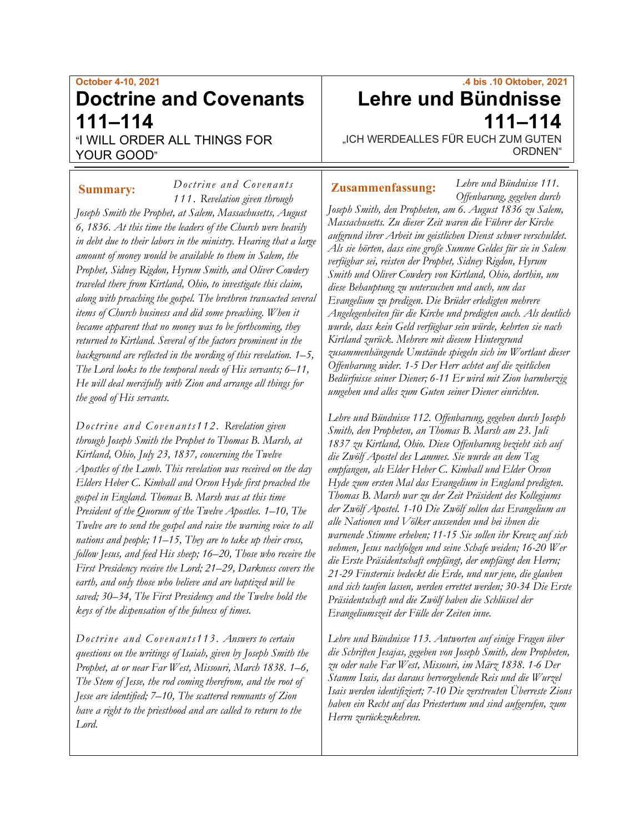# **October 4-10, 2021 Doctrine and Covenants 111–114**

"I WILL ORDER ALL THINGS FOR YOUR GOOD"

*Doctrine and Covenants 1 11 . Revelation given through Joseph Smith the Prophet, at Salem, Massachusetts, August 6, 1836. At this time the leaders of the Church were heavily in debt due to their labors in the ministry. Hearing that a large amount of money would be available to them in Salem, the Prophet, Sidney Rigdon, Hyrum Smith, and Oliver Cowdery traveled there from Kirtland, Ohio, to investigate this claim, along with preaching the gospel. The brethren transacted several items of Church business and did some preaching. When it became apparent that no money was to be forthcoming, they returned to Kirtland. Several of the factors prominent in the background are reflected in the wording of this revelation. 1–5, The Lord looks to the temporal needs of His servants; 6–11, He will deal mercifully with Zion and arrange all things for the good of His servants.* **Summary: Zusammenfassung:**

*Doctrine and Covenants112 . Revelation given through Joseph Smith the Prophet to Thomas B. Marsh, at Kirtland, Ohio, July 23, 1837, concerning the Twelve Apostles of the Lamb. This revelation was received on the day Elders Heber C. Kimball and Orson Hyde first preached the gospel in England. Thomas B. Marsh was at this time President of the Quorum of the Twelve Apostles. 1–10, The Twelve are to send the gospel and raise the warning voice to all nations and people; 11–15, They are to take up their cross, follow Jesus, and feed His sheep; 16–20, Those who receive the First Presidency receive the Lord; 21–29, Darkness covers the earth, and only those who believe and are baptized will be saved; 30–34, The First Presidency and the Twelve hold the keys of the dispensation of the fulness of times.*

*Doctrine and Covenants113. Answers to certain questions on the writings of Isaiah, given by Joseph Smith the Prophet, at or near Far West, Missouri, March 1838. 1–6, The Stem of Jesse, the rod coming therefrom, and the root of Jesse are identified; 7–10, The scattered remnants of Zion have a right to the priesthood and are called to return to the Lord.*

# **.4 bis .10 Oktober, 2021 Lehre und Bündnisse 111–114**

*Lehre und Bündnisse 111.*

"ICH WERDEALLES FÜR EUCH ZUM GUTEN ORDNEN"

*Offenbarung, gegeben durch Joseph Smith, den Propheten, am 6. August 1836 zu Salem, Massachusetts. Zu dieser Zeit waren die Führer der Kirche aufgrund ihrer Arbeit im geistlichen Dienst schwer verschuldet. Als sie hörten, dass eine große Summe Geldes für sie in Salem verfügbar sei, reisten der Prophet, Sidney Rigdon, Hyrum Smith und Oliver Cowdery von Kirtland, Ohio, dorthin, um diese Behauptung zu untersuchen und auch, um das Evangelium zu predigen. Die Brüder erledigten mehrere Angelegenheiten für die Kirche und predigten auch. Als deutlich wurde, dass kein Geld verfügbar sein würde, kehrten sie nach Kirtland zurück. Mehrere mit diesem Hintergrund zusammenhängende Umstände spiegeln sich im Wortlaut dieser Offenbarung wider. 1-5 Der Herr achtet auf die zeitlichen Bedürfnisse seiner Diener; 6-11 Er wird mit Zion barmherzig umgehen und alles zum Guten seiner Diener einrichten.*

*Lehre und Bündnisse 112. Offenbarung, gegeben durch Joseph Smith, den Propheten, an Thomas B. Marsh am 23. Juli 1837 zu Kirtland, Ohio. Diese Offenbarung bezieht sich auf die Zwölf Apostel des Lammes. Sie wurde an dem Tag empfangen, als Elder Heber C. Kimball und Elder Orson Hyde zum ersten Mal das Evangelium in England predigten. Thomas B. Marsh war zu der Zeit Präsident des Kollegiums der Zwölf Apostel. 1-10 Die Zwölf sollen das Evangelium an alle Nationen und Völker aussenden und bei ihnen die warnende Stimme erheben; 11-15 Sie sollen ihr Kreuz auf sich nehmen, Jesus nachfolgen und seine Schafe weiden; 16-20 Wer die Erste Präsidentschaft empfängt, der empfängt den Herrn; 21-29 Finsternis bedeckt die Erde, und nur jene, die glauben und sich taufen lassen, werden errettet werden; 30-34 Die Erste Präsidentschaft und die Zwölf haben die Schlüssel der Evangeliumszeit der Fülle der Zeiten inne.*

*Lehre und Bündnisse 113. Antworten auf einige Fragen über die Schriften Jesajas, gegeben von Joseph Smith, dem Propheten, zu oder nahe Far West, Missouri, im März 1838. 1-6 Der Stamm Isais, das daraus hervorgehende Reis und die Wurzel Isais werden identifiziert; 7-10 Die zerstreuten Überreste Zions haben ein Recht auf das Priestertum und sind aufgerufen, zum Herrn zurückzukehren.*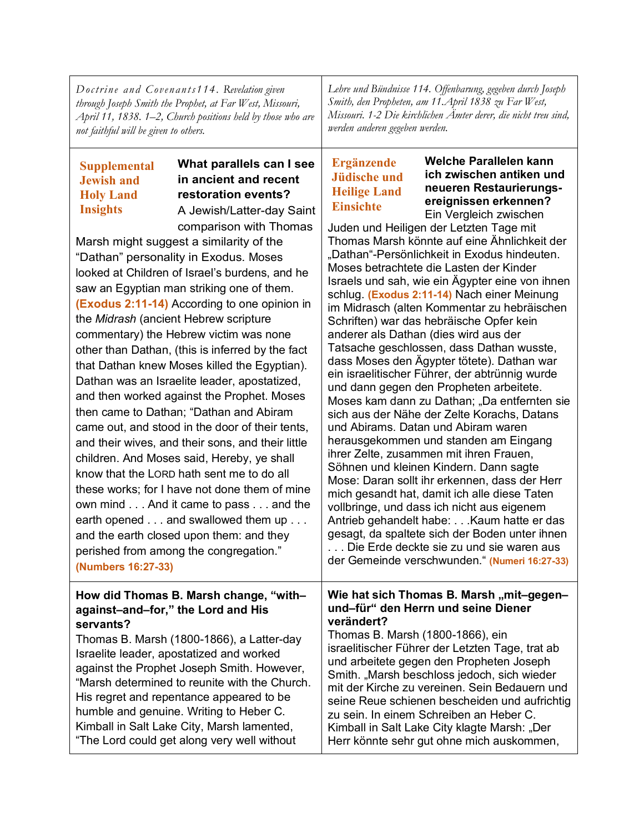| Doctrine and Covenants114. Revelation given<br>through Joseph Smith the Prophet, at Far West, Missouri,<br>April 11, 1838. 1–2, Church positions held by those who are<br>not faithful will be given to others.                                                                                                                                                                                                                                                       |                                                                                                                                                                                                                                                                                                                                                                                                                                                                                                                                                                                                                                                                                                                                                                                                                                                                                                                                                                                                                                                                                                                            | Lehre und Bündnisse 114. Offenbarung, gegeben durch Joseph<br>Smith, den Propheten, am 11. April 1838 zu Far West,<br>Missouri. 1-2 Die kirchlichen Ämter derer, die nicht treu sind,<br>werden anderen gegeben werden. |                                                                                                                                                                                                                                                                                                                                                                                                                                                                                                                                                                                                                                                                                                                                                                                                                                                                                                                                                                                                                                                                                                                                                                                                                                                                                                                                                                                                                                                              |  |
|-----------------------------------------------------------------------------------------------------------------------------------------------------------------------------------------------------------------------------------------------------------------------------------------------------------------------------------------------------------------------------------------------------------------------------------------------------------------------|----------------------------------------------------------------------------------------------------------------------------------------------------------------------------------------------------------------------------------------------------------------------------------------------------------------------------------------------------------------------------------------------------------------------------------------------------------------------------------------------------------------------------------------------------------------------------------------------------------------------------------------------------------------------------------------------------------------------------------------------------------------------------------------------------------------------------------------------------------------------------------------------------------------------------------------------------------------------------------------------------------------------------------------------------------------------------------------------------------------------------|-------------------------------------------------------------------------------------------------------------------------------------------------------------------------------------------------------------------------|--------------------------------------------------------------------------------------------------------------------------------------------------------------------------------------------------------------------------------------------------------------------------------------------------------------------------------------------------------------------------------------------------------------------------------------------------------------------------------------------------------------------------------------------------------------------------------------------------------------------------------------------------------------------------------------------------------------------------------------------------------------------------------------------------------------------------------------------------------------------------------------------------------------------------------------------------------------------------------------------------------------------------------------------------------------------------------------------------------------------------------------------------------------------------------------------------------------------------------------------------------------------------------------------------------------------------------------------------------------------------------------------------------------------------------------------------------------|--|
| <b>Supplemental</b><br><b>Jewish and</b><br><b>Holy Land</b><br><b>Insights</b><br>(Numbers 16:27-33)                                                                                                                                                                                                                                                                                                                                                                 | What parallels can I see<br>in ancient and recent<br>restoration events?<br>A Jewish/Latter-day Saint<br>comparison with Thomas<br>Marsh might suggest a similarity of the<br>"Dathan" personality in Exodus. Moses<br>looked at Children of Israel's burdens, and he<br>saw an Egyptian man striking one of them.<br>(Exodus 2:11-14) According to one opinion in<br>the Midrash (ancient Hebrew scripture<br>commentary) the Hebrew victim was none<br>other than Dathan, (this is inferred by the fact<br>that Dathan knew Moses killed the Egyptian).<br>Dathan was an Israelite leader, apostatized,<br>and then worked against the Prophet. Moses<br>then came to Dathan; "Dathan and Abiram<br>came out, and stood in the door of their tents,<br>and their wives, and their sons, and their little<br>children. And Moses said, Hereby, ye shall<br>know that the LORD hath sent me to do all<br>these works; for I have not done them of mine<br>own mind And it came to pass and the<br>earth opened and swallowed them up<br>and the earth closed upon them: and they<br>perished from among the congregation." |                                                                                                                                                                                                                         | Welche Parallelen kann<br><b>Ergänzende</b><br>ich zwischen antiken und<br><b>Jüdische und</b><br>neueren Restaurierungs-<br><b>Heilige Land</b><br>ereignissen erkennen?<br><b>Einsichte</b><br>Ein Vergleich zwischen<br>Juden und Heiligen der Letzten Tage mit<br>Thomas Marsh könnte auf eine Ähnlichkeit der<br>"Dathan"-Persönlichkeit in Exodus hindeuten.<br>Moses betrachtete die Lasten der Kinder<br>Israels und sah, wie ein Ägypter eine von ihnen<br>schlug. (Exodus 2:11-14) Nach einer Meinung<br>im Midrasch (alten Kommentar zu hebräischen<br>Schriften) war das hebräische Opfer kein<br>anderer als Dathan (dies wird aus der<br>Tatsache geschlossen, dass Dathan wusste,<br>dass Moses den Ägypter tötete). Dathan war<br>ein israelitischer Führer, der abtrünnig wurde<br>und dann gegen den Propheten arbeitete.<br>Moses kam dann zu Dathan; "Da entfernten sie<br>sich aus der Nähe der Zelte Korachs, Datans<br>und Abirams. Datan und Abiram waren<br>herausgekommen und standen am Eingang<br>ihrer Zelte, zusammen mit ihren Frauen,<br>Söhnen und kleinen Kindern. Dann sagte<br>Mose: Daran sollt ihr erkennen, dass der Herr<br>mich gesandt hat, damit ich alle diese Taten<br>vollbringe, und dass ich nicht aus eigenem<br>Antrieb gehandelt habe: Kaum hatte er das<br>gesagt, da spaltete sich der Boden unter ihnen<br>. Die Erde deckte sie zu und sie waren aus<br>der Gemeinde verschwunden." (Numeri 16:27-33) |  |
| How did Thomas B. Marsh change, "with-<br>against-and-for," the Lord and His<br>servants?<br>Thomas B. Marsh (1800-1866), a Latter-day<br>Israelite leader, apostatized and worked<br>against the Prophet Joseph Smith. However,<br>"Marsh determined to reunite with the Church.<br>His regret and repentance appeared to be<br>humble and genuine. Writing to Heber C.<br>Kimball in Salt Lake City, Marsh lamented,<br>"The Lord could get along very well without |                                                                                                                                                                                                                                                                                                                                                                                                                                                                                                                                                                                                                                                                                                                                                                                                                                                                                                                                                                                                                                                                                                                            | verändert?<br>Thomas B. Marsh (1800-1866), ein                                                                                                                                                                          | Wie hat sich Thomas B. Marsh "mit-gegen-<br>und-für" den Herrn und seine Diener<br>israelitischer Führer der Letzten Tage, trat ab<br>und arbeitete gegen den Propheten Joseph<br>Smith. "Marsh beschloss jedoch, sich wieder<br>mit der Kirche zu vereinen. Sein Bedauern und<br>seine Reue schienen bescheiden und aufrichtig<br>zu sein. In einem Schreiben an Heber C.<br>Kimball in Salt Lake City klagte Marsh: "Der<br>Herr könnte sehr gut ohne mich auskommen,                                                                                                                                                                                                                                                                                                                                                                                                                                                                                                                                                                                                                                                                                                                                                                                                                                                                                                                                                                                      |  |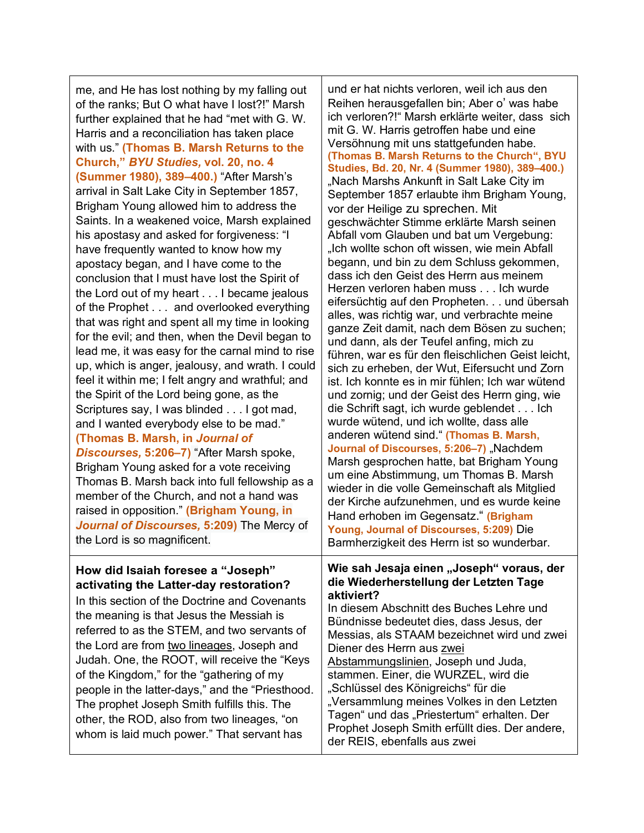me, and He has lost nothing by my falling out of the ranks; But O what have I lost?!" Marsh further explained that he had "met with G. W. Harris and a reconciliation has taken place with us." **(Thomas B. Marsh Returns to the Church,"** *BYU Studies,* **vol. 20, no. 4 (Summer 1980), 389–400.)** "After Marsh's arrival in Salt Lake City in September 1857, Brigham Young allowed him to address the Saints. In a weakened voice, Marsh explained his apostasy and asked for forgiveness: "I have frequently wanted to know how my apostacy began, and I have come to the conclusion that I must have lost the Spirit of the Lord out of my heart . . . I became jealous of the Prophet . . . and overlooked everything that was right and spent all my time in looking for the evil; and then, when the Devil began to lead me, it was easy for the carnal mind to rise up, which is anger, jealousy, and wrath. I could feel it within me; I felt angry and wrathful; and the Spirit of the Lord being gone, as the Scriptures say, I was blinded . . . I got mad, and I wanted everybody else to be mad." **(Thomas B. Marsh, in** *Journal of Discourses,* **5:206–7)** "After Marsh spoke, Brigham Young asked for a vote receiving Thomas B. Marsh back into full fellowship as a member of the Church, and not a hand was raised in opposition." **(Brigham Young, in**  *Journal of Discourses,* **5:209)** The Mercy of the Lord is so magnificent. **How did Isaiah foresee a "Joseph" activating the Latter-day restoration?** In this section of the Doctrine and Covenants the meaning is that Jesus the Messiah is

referred to as the STEM, and two servants of the Lord are from two lineages, Joseph and Judah. One, the ROOT, will receive the "Keys of the Kingdom," for the "gathering of my people in the latter-days," and the "Priesthood. The prophet Joseph Smith fulfills this. The other, the ROD, also from two lineages, "on whom is laid much power." That servant has

und er hat nichts verloren, weil ich aus den Reihen herausgefallen bin; Aber o' was habe ich verloren?!" Marsh erklärte weiter, dass sich mit G. W. Harris getroffen habe und eine Versöhnung mit uns stattgefunden habe. **(Thomas B. Marsh Returns to the Church", BYU Studies, Bd. 20, Nr. 4 (Summer 1980), 389–400.)** "Nach Marshs Ankunft in Salt Lake City im September 1857 erlaubte ihm Brigham Young, vor der Heilige zu sprechen. Mit geschwächter Stimme erklärte Marsh seinen Abfall vom Glauben und bat um Vergebung: "Ich wollte schon oft wissen, wie mein Abfall begann, und bin zu dem Schluss gekommen, dass ich den Geist des Herrn aus meinem Herzen verloren haben muss . . . Ich wurde eifersüchtig auf den Propheten. . . und übersah alles, was richtig war, und verbrachte meine ganze Zeit damit, nach dem Bösen zu suchen; und dann, als der Teufel anfing, mich zu führen, war es für den fleischlichen Geist leicht, sich zu erheben, der Wut, Eifersucht und Zorn ist. Ich konnte es in mir fühlen; Ich war wütend und zornig; und der Geist des Herrn ging, wie die Schrift sagt, ich wurde geblendet . . . Ich wurde wütend, und ich wollte, dass alle anderen wütend sind." **(Thomas B. Marsh, Journal of Discourses, 5:206-7)** "Nachdem Marsh gesprochen hatte, bat Brigham Young um eine Abstimmung, um Thomas B. Marsh wieder in die volle Gemeinschaft als Mitglied der Kirche aufzunehmen, und es wurde keine Hand erhoben im Gegensatz." **(Brigham Young, Journal of Discourses, 5:209)** Die Barmherzigkeit des Herrn ist so wunderbar.

## **Wie sah Jesaja einen "Joseph" voraus, der die Wiederherstellung der Letzten Tage aktiviert?**

In diesem Abschnitt des Buches Lehre und Bündnisse bedeutet dies, dass Jesus, der Messias, als STAAM bezeichnet wird und zwei Diener des Herrn aus zwei Abstammungslinien, Joseph und Juda, stammen. Einer, die WURZEL, wird die "Schlüssel des Königreichs" für die "Versammlung meines Volkes in den Letzten Tagen" und das "Priestertum" erhalten. Der Prophet Joseph Smith erfüllt dies. Der andere, der REIS, ebenfalls aus zwei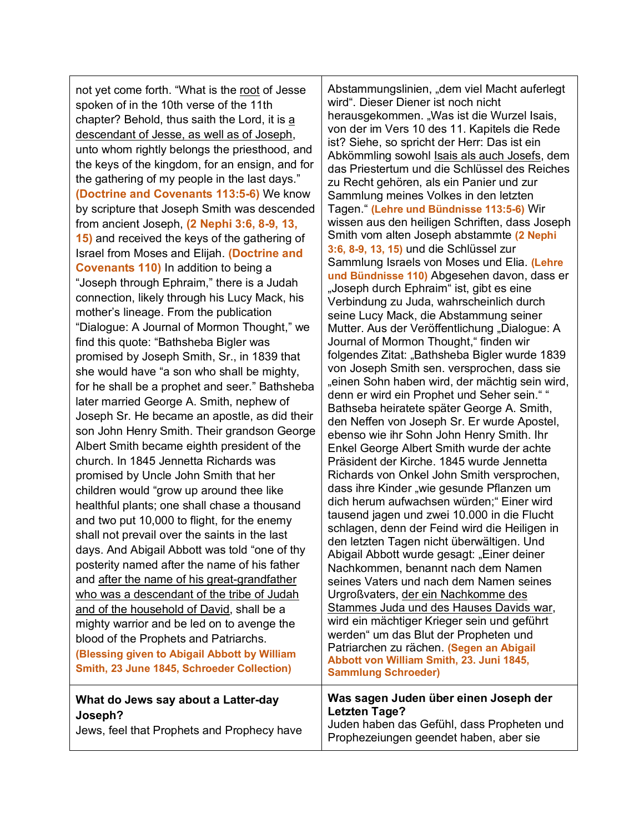not yet come forth. "What is the root of Jesse spoken of in the 10th verse of the 11th chapter? Behold, thus saith the Lord, it is a descendant of Jesse, as well as of Joseph, unto whom rightly belongs the priesthood, and the keys of the kingdom, for an ensign, and for the gathering of my people in the last days." **(Doctrine and Covenants 113:5-6)** We know by scripture that Joseph Smith was descended from ancient Joseph, **(2 Nephi 3:6, 8-9, 13, 15)** and received the keys of the gathering of Israel from Moses and Elijah. **(Doctrine and Covenants 110)** In addition to being a "Joseph through Ephraim," there is a Judah connection, likely through his Lucy Mack, his mother's lineage. From the publication "Dialogue: A Journal of Mormon Thought," we find this quote: "Bathsheba Bigler was promised by Joseph Smith, Sr., in 1839 that she would have "a son who shall be mighty, for he shall be a prophet and seer." Bathsheba later married George A. Smith, nephew of Joseph Sr. He became an apostle, as did their son John Henry Smith. Their grandson George Albert Smith became eighth president of the church. In 1845 Jennetta Richards was promised by Uncle John Smith that her children would "grow up around thee like healthful plants; one shall chase a thousand and two put 10,000 to flight, for the enemy shall not prevail over the saints in the last days. And Abigail Abbott was told "one of thy posterity named after the name of his father and after the name of his great-grandfather who was a descendant of the tribe of Judah and of the household of David, shall be a mighty warrior and be led on to avenge the blood of the Prophets and Patriarchs. **(Blessing given to Abigail Abbott by William Smith, 23 June 1845, Schroeder Collection)**

## Abstammungslinien, "dem viel Macht auferlegt wird". Dieser Diener ist noch nicht herausgekommen. "Was ist die Wurzel Isais, von der im Vers 10 des 11. Kapitels die Rede ist? Siehe, so spricht der Herr: Das ist ein Abkömmling sowohl Isais als auch Josefs, dem das Priestertum und die Schlüssel des Reiches zu Recht gehören, als ein Panier und zur Sammlung meines Volkes in den letzten Tagen." **(Lehre und Bündnisse 113:5-6)** Wir wissen aus den heiligen Schriften, dass Joseph Smith vom alten Joseph abstammte **(2 Nephi 3:6, 8-9, 13, 15)** und die Schlüssel zur Sammlung Israels von Moses und Elia. **(Lehre und Bündnisse 110)** Abgesehen davon, dass er "Joseph durch Ephraim" ist, gibt es eine Verbindung zu Juda, wahrscheinlich durch seine Lucy Mack, die Abstammung seiner Mutter. Aus der Veröffentlichung "Dialogue: A Journal of Mormon Thought," finden wir folgendes Zitat: "Bathsheba Bigler wurde 1839 von Joseph Smith sen. versprochen, dass sie "einen Sohn haben wird, der mächtig sein wird, denn er wird ein Prophet und Seher sein." " Bathseba heiratete später George A. Smith, den Neffen von Joseph Sr. Er wurde Apostel, ebenso wie ihr Sohn John Henry Smith. Ihr Enkel George Albert Smith wurde der achte Präsident der Kirche. 1845 wurde Jennetta Richards von Onkel John Smith versprochen, dass ihre Kinder "wie gesunde Pflanzen um dich herum aufwachsen würden;" Einer wird tausend jagen und zwei 10.000 in die Flucht schlagen, denn der Feind wird die Heiligen in den letzten Tagen nicht überwältigen. Und Abigail Abbott wurde gesagt: "Einer deiner Nachkommen, benannt nach dem Namen seines Vaters und nach dem Namen seines Urgroßvaters, der ein Nachkomme des Stammes Juda und des Hauses Davids war, wird ein mächtiger Krieger sein und geführt werden" um das Blut der Propheten und Patriarchen zu rächen. **(Segen an Abigail Abbott von William Smith, 23. Juni 1845, Sammlung Schroeder)**

#### **What do Jews say about a Latter-day Joseph?** Jews, feel that Prophets and Prophecy have **Was sagen Juden über einen Joseph der Letzten Tage?** Juden haben das Gefühl, dass Propheten und Prophezeiungen geendet haben, aber sie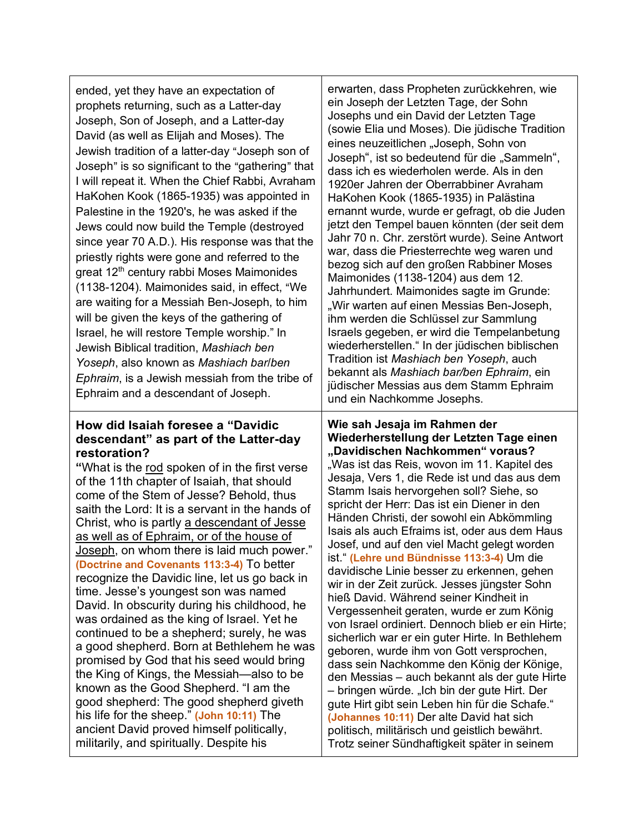| ended, yet they have an expectation of<br>prophets returning, such as a Latter-day<br>Joseph, Son of Joseph, and a Latter-day<br>David (as well as Elijah and Moses). The<br>Jewish tradition of a latter-day "Joseph son of<br>Joseph" is so significant to the "gathering" that<br>I will repeat it. When the Chief Rabbi, Avraham<br>HaKohen Kook (1865-1935) was appointed in<br>Palestine in the 1920's, he was asked if the<br>Jews could now build the Temple (destroyed<br>since year 70 A.D.). His response was that the<br>priestly rights were gone and referred to the<br>great 12 <sup>th</sup> century rabbi Moses Maimonides<br>(1138-1204). Maimonides said, in effect, "We<br>are waiting for a Messiah Ben-Joseph, to him<br>will be given the keys of the gathering of<br>Israel, he will restore Temple worship." In<br>Jewish Biblical tradition, Mashiach ben<br>Yoseph, also known as Mashiach barlben<br>Ephraim, is a Jewish messiah from the tribe of<br>Ephraim and a descendant of Joseph.                    | erwarten, dass Propheten zurückkehren, wie<br>ein Joseph der Letzten Tage, der Sohn<br>Josephs und ein David der Letzten Tage<br>(sowie Elia und Moses). Die jüdische Tradition<br>eines neuzeitlichen "Joseph, Sohn von<br>Joseph", ist so bedeutend für die "Sammeln",<br>dass ich es wiederholen werde. Als in den<br>1920er Jahren der Oberrabbiner Avraham<br>HaKohen Kook (1865-1935) in Palästina<br>ernannt wurde, wurde er gefragt, ob die Juden<br>jetzt den Tempel bauen könnten (der seit dem<br>Jahr 70 n. Chr. zerstört wurde). Seine Antwort<br>war, dass die Priesterrechte weg waren und<br>bezog sich auf den großen Rabbiner Moses<br>Maimonides (1138-1204) aus dem 12.<br>Jahrhundert. Maimonides sagte im Grunde:<br>"Wir warten auf einen Messias Ben-Joseph,<br>ihm werden die Schlüssel zur Sammlung<br>Israels gegeben, er wird die Tempelanbetung<br>wiederherstellen." In der jüdischen biblischen<br>Tradition ist Mashiach ben Yoseph, auch<br>bekannt als Mashiach bar/ben Ephraim, ein<br>jüdischer Messias aus dem Stamm Ephraim<br>und ein Nachkomme Josephs.                                        |
|-------------------------------------------------------------------------------------------------------------------------------------------------------------------------------------------------------------------------------------------------------------------------------------------------------------------------------------------------------------------------------------------------------------------------------------------------------------------------------------------------------------------------------------------------------------------------------------------------------------------------------------------------------------------------------------------------------------------------------------------------------------------------------------------------------------------------------------------------------------------------------------------------------------------------------------------------------------------------------------------------------------------------------------------|----------------------------------------------------------------------------------------------------------------------------------------------------------------------------------------------------------------------------------------------------------------------------------------------------------------------------------------------------------------------------------------------------------------------------------------------------------------------------------------------------------------------------------------------------------------------------------------------------------------------------------------------------------------------------------------------------------------------------------------------------------------------------------------------------------------------------------------------------------------------------------------------------------------------------------------------------------------------------------------------------------------------------------------------------------------------------------------------------------------------------------------|
| How did Isaiah foresee a "Davidic<br>descendant" as part of the Latter-day<br>restoration?<br>"What is the rod spoken of in the first verse<br>of the 11th chapter of Isaiah, that should<br>come of the Stem of Jesse? Behold, thus<br>saith the Lord: It is a servant in the hands of<br>Christ, who is partly a descendant of Jesse<br>as well as of Ephraim, or of the house of<br>Joseph, on whom there is laid much power."<br>(Doctrine and Covenants 113:3-4) To better<br>recognize the Davidic line, let us go back in<br>time. Jesse's youngest son was named<br>David. In obscurity during his childhood, he<br>was ordained as the king of Israel. Yet he<br>continued to be a shepherd; surely, he was<br>a good shepherd. Born at Bethlehem he was<br>promised by God that his seed would bring<br>the King of Kings, the Messiah—also to be<br>known as the Good Shepherd. "I am the<br>good shepherd: The good shepherd giveth<br>his life for the sheep." (John 10:11) The<br>ancient David proved himself politically, | Wie sah Jesaja im Rahmen der<br>Wiederherstellung der Letzten Tage einen<br>"Davidischen Nachkommen" voraus?<br>"Was ist das Reis, wovon im 11. Kapitel des<br>Jesaja, Vers 1, die Rede ist und das aus dem<br>Stamm Isais hervorgehen soll? Siehe, so<br>spricht der Herr: Das ist ein Diener in den<br>Händen Christi, der sowohl ein Abkömmling<br>Isais als auch Efraims ist, oder aus dem Haus<br>Josef, und auf den viel Macht gelegt worden<br>ist." (Lehre und Bündnisse 113:3-4) Um die<br>davidische Linie besser zu erkennen, gehen<br>wir in der Zeit zurück. Jesses jüngster Sohn<br>hieß David. Während seiner Kindheit in<br>Vergessenheit geraten, wurde er zum König<br>von Israel ordiniert. Dennoch blieb er ein Hirte;<br>sicherlich war er ein guter Hirte. In Bethlehem<br>geboren, wurde ihm von Gott versprochen,<br>dass sein Nachkomme den König der Könige,<br>den Messias – auch bekannt als der gute Hirte<br>- bringen würde. "Ich bin der gute Hirt. Der<br>gute Hirt gibt sein Leben hin für die Schafe."<br>(Johannes 10:11) Der alte David hat sich<br>politisch, militärisch und geistlich bewährt. |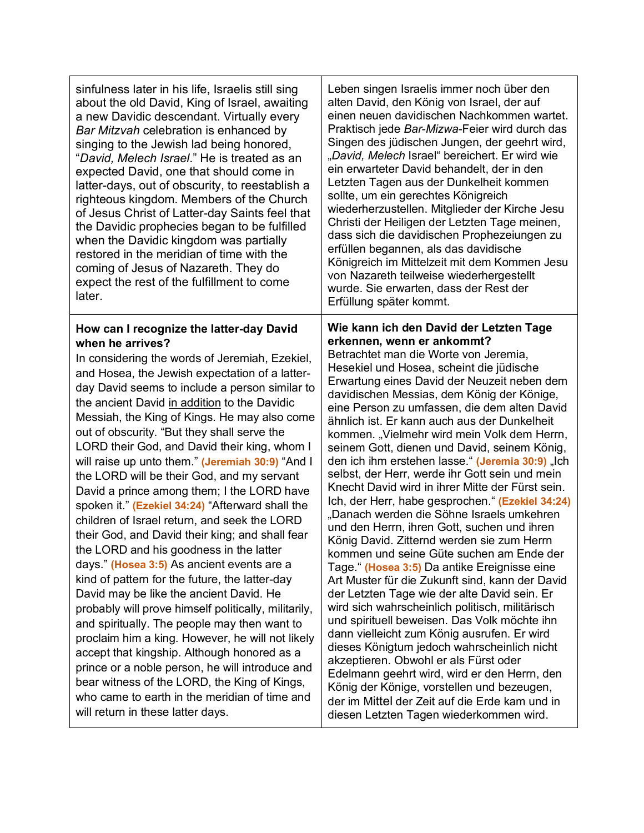| sinfulness later in his life, Israelis still sing<br>about the old David, King of Israel, awaiting<br>a new Davidic descendant. Virtually every<br>Bar Mitzvah celebration is enhanced by<br>singing to the Jewish lad being honored,<br>"David, Melech Israel." He is treated as an<br>expected David, one that should come in<br>latter-days, out of obscurity, to reestablish a<br>righteous kingdom. Members of the Church<br>of Jesus Christ of Latter-day Saints feel that<br>the Davidic prophecies began to be fulfilled<br>when the Davidic kingdom was partially<br>restored in the meridian of time with the<br>coming of Jesus of Nazareth. They do<br>expect the rest of the fulfillment to come<br>later.                                                                                                                                                                                                                                                                                                                                                                                                                                                                                                                                                                                            | Leben singen Israelis immer noch über den<br>alten David, den König von Israel, der auf<br>einen neuen davidischen Nachkommen wartet.<br>Praktisch jede Bar-Mizwa-Feier wird durch das<br>Singen des jüdischen Jungen, der geehrt wird,<br>"David, Melech Israel" bereichert. Er wird wie<br>ein erwarteter David behandelt, der in den<br>Letzten Tagen aus der Dunkelheit kommen<br>sollte, um ein gerechtes Königreich<br>wiederherzustellen. Mitglieder der Kirche Jesu<br>Christi der Heiligen der Letzten Tage meinen,<br>dass sich die davidischen Prophezeiungen zu<br>erfüllen begannen, als das davidische<br>Königreich im Mittelzeit mit dem Kommen Jesu<br>von Nazareth teilweise wiederhergestellt<br>wurde. Sie erwarten, dass der Rest der<br>Erfüllung später kommt.                                                                                                                                                                                                                                                                                                                                                                                                                                                                                                                                                                                                                                                              |
|--------------------------------------------------------------------------------------------------------------------------------------------------------------------------------------------------------------------------------------------------------------------------------------------------------------------------------------------------------------------------------------------------------------------------------------------------------------------------------------------------------------------------------------------------------------------------------------------------------------------------------------------------------------------------------------------------------------------------------------------------------------------------------------------------------------------------------------------------------------------------------------------------------------------------------------------------------------------------------------------------------------------------------------------------------------------------------------------------------------------------------------------------------------------------------------------------------------------------------------------------------------------------------------------------------------------|----------------------------------------------------------------------------------------------------------------------------------------------------------------------------------------------------------------------------------------------------------------------------------------------------------------------------------------------------------------------------------------------------------------------------------------------------------------------------------------------------------------------------------------------------------------------------------------------------------------------------------------------------------------------------------------------------------------------------------------------------------------------------------------------------------------------------------------------------------------------------------------------------------------------------------------------------------------------------------------------------------------------------------------------------------------------------------------------------------------------------------------------------------------------------------------------------------------------------------------------------------------------------------------------------------------------------------------------------------------------------------------------------------------------------------------------------|
| How can I recognize the latter-day David<br>when he arrives?<br>In considering the words of Jeremiah, Ezekiel,<br>and Hosea, the Jewish expectation of a latter-<br>day David seems to include a person similar to<br>the ancient David in addition to the Davidic<br>Messiah, the King of Kings. He may also come<br>out of obscurity. "But they shall serve the<br>LORD their God, and David their king, whom I<br>will raise up unto them." (Jeremiah 30:9) "And I<br>the LORD will be their God, and my servant<br>David a prince among them; I the LORD have<br>spoken it." (Ezekiel 34:24) "Afterward shall the<br>children of Israel return, and seek the LORD<br>their God, and David their king; and shall fear<br>the LORD and his goodness in the latter<br>days." (Hosea 3:5) As ancient events are a<br>kind of pattern for the future, the latter-day<br>David may be like the ancient David. He<br>probably will prove himself politically, militarily,<br>and spiritually. The people may then want to<br>proclaim him a king. However, he will not likely<br>accept that kingship. Although honored as a<br>prince or a noble person, he will introduce and<br>bear witness of the LORD, the King of Kings,<br>who came to earth in the meridian of time and<br>will return in these latter days. | Wie kann ich den David der Letzten Tage<br>erkennen, wenn er ankommt?<br>Betrachtet man die Worte von Jeremia,<br>Hesekiel und Hosea, scheint die jüdische<br>Erwartung eines David der Neuzeit neben dem<br>davidischen Messias, dem König der Könige,<br>eine Person zu umfassen, die dem alten David<br>ähnlich ist. Er kann auch aus der Dunkelheit<br>kommen. "Vielmehr wird mein Volk dem Herrn,<br>seinem Gott, dienen und David, seinem König,<br>den ich ihm erstehen lasse." (Jeremia 30:9) "Ich<br>selbst, der Herr, werde ihr Gott sein und mein<br>Knecht David wird in ihrer Mitte der Fürst sein.<br>Ich, der Herr, habe gesprochen." (Ezekiel 34:24)<br>"Danach werden die Söhne Israels umkehren<br>und den Herrn, ihren Gott, suchen und ihren<br>König David. Zitternd werden sie zum Herrn<br>kommen und seine Güte suchen am Ende der<br>Tage." (Hosea 3:5) Da antike Ereignisse eine<br>Art Muster für die Zukunft sind, kann der David<br>der Letzten Tage wie der alte David sein. Er<br>wird sich wahrscheinlich politisch, militärisch<br>und spirituell beweisen. Das Volk möchte ihn<br>dann vielleicht zum König ausrufen. Er wird<br>dieses Königtum jedoch wahrscheinlich nicht<br>akzeptieren. Obwohl er als Fürst oder<br>Edelmann geehrt wird, wird er den Herrn, den<br>König der Könige, vorstellen und bezeugen,<br>der im Mittel der Zeit auf die Erde kam und in<br>diesen Letzten Tagen wiederkommen wird. |